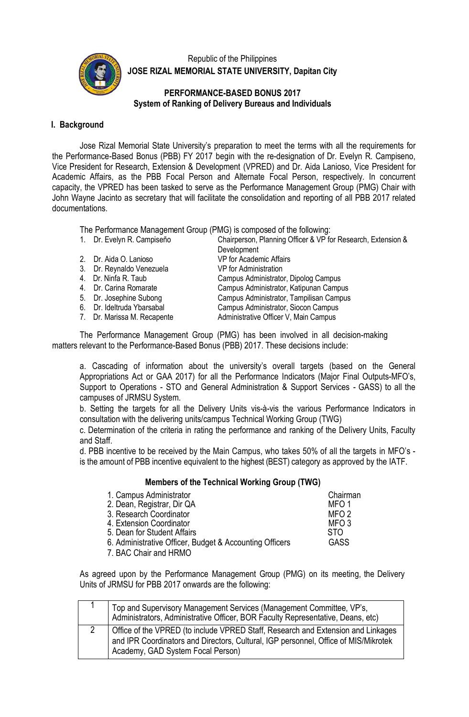

Republic of the Philippines **JOSE RIZAL MEMORIAL STATE UNIVERSITY, Dapitan City**

## **PERFORMANCE-BASED BONUS 2017 System of Ranking of Delivery Bureaus and Individuals**

## **I. Background**

Jose Rizal Memorial State University's preparation to meet the terms with all the requirements for the Performance-Based Bonus (PBB) FY 2017 begin with the re-designation of Dr. Evelyn R. Campiseno, Vice President for Research, Extension & Development (VPRED) and Dr. Aida Lanioso, Vice President for Academic Affairs, as the PBB Focal Person and Alternate Focal Person, respectively. In concurrent capacity, the VPRED has been tasked to serve as the Performance Management Group (PMG) Chair with John Wayne Jacinto as secretary that will facilitate the consolidation and reporting of all PBB 2017 related documentations.

The Performance Management Group (PMG) is composed of the following:<br>1. Dr. Evelyn R. Campiseño<br>Chairperson, Planning Officer & VP fo

- 
- 
- 
- 
- 
- 
- 
- 

Chairperson, Planning Officer & VP for Research, Extension & **Development** 2. Dr. Aida O. Lanioso VP for Academic Affairs 3. Dr. Reynaldo Venezuela **VP for Administration**<br>
4. Dr. Ninfa R. Taub **Campus Administrato** 4. Dr. Ninfa R. Taub **Campus Administrator, Dipolog Campus**<br>4. Dr. Carina Romarate **Campus Administrator**, Katipunan Campus 4. Dr. Carina Romarate **Campus Administrator, Katipunan Campus**<br>5. Dr. Josephine Subong **Campus Administrator, Tampilisan Campus** 5. Dr. Josephine Subong Campus Administrator, Tampilisan Campus<br>6. Dr. Ideltruda Ybarsabal Campus Administrator, Siocon Campus 6. Dr. Ideltruda Ybarsabal **Campus Administrator, Siocon Campus**<br>1. Dr. Marissa M. Recapente **Campus** Administrative Officer V, Main Campus Administrative Officer V, Main Campus

The Performance Management Group (PMG) has been involved in all decision-making matters relevant to the Performance-Based Bonus (PBB) 2017. These decisions include:

a. Cascading of information about the university's overall targets (based on the General Appropriations Act or GAA 2017) for all the Performance Indicators (Major Final Outputs-MFO's, Support to Operations - STO and General Administration & Support Services - GASS) to all the campuses of JRMSU System.

b. Setting the targets for all the Delivery Units vis-à-vis the various Performance Indicators in consultation with the delivering units/campus Technical Working Group (TWG)

c. Determination of the criteria in rating the performance and ranking of the Delivery Units, Faculty and Staff.

d. PBB incentive to be received by the Main Campus, who takes 50% of all the targets in MFO's is the amount of PBB incentive equivalent to the highest (BEST) category as approved by the IATF.

## **Members of the Technical Working Group (TWG)**

| 1. Campus Administrator                                 | Chairman         |
|---------------------------------------------------------|------------------|
| 2. Dean, Registrar, Dir QA                              | MFO <sub>1</sub> |
| 3. Research Coordinator                                 | MFO <sub>2</sub> |
| 4. Extension Coordinator                                | MFO <sub>3</sub> |
| 5. Dean for Student Affairs                             | <b>STO</b>       |
| 6. Administrative Officer, Budget & Accounting Officers | <b>GASS</b>      |
| 7. BAC Chair and HRMO                                   |                  |

As agreed upon by the Performance Management Group (PMG) on its meeting, the Delivery Units of JRMSU for PBB 2017 onwards are the following:

| Top and Supervisory Management Services (Management Committee, VP's,<br>Administrators, Administrative Officer, BOR Faculty Representative, Deans, etc)                                                      |
|--------------------------------------------------------------------------------------------------------------------------------------------------------------------------------------------------------------|
| Office of the VPRED (to include VPRED Staff, Research and Extension and Linkages<br>and IPR Coordinators and Directors, Cultural, IGP personnel, Office of MIS/Mikrotek<br>Academy, GAD System Focal Person) |